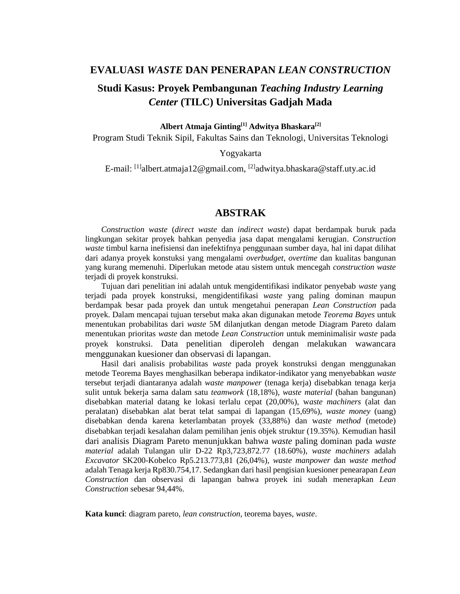#### **EVALUASI** *WASTE* **DAN PENERAPAN** *LEAN CONSTRUCTION*

# **Studi Kasus: Proyek Pembangunan** *Teaching Industry Learning Center* **(TILC) Universitas Gadjah Mada**

**Albert Atmaja Ginting[1] Adwitya Bhaskara[2]**

Program Studi Teknik Sipil, Fakultas Sains dan Teknologi, Universitas Teknologi

Yogyakarta

E-mail: <sup>[1]</sup>[albert.atmaja12@gmail.com,](mailto:albert.atmaja12@gmail.com) <sup>[2]</sup>adwitya.bhaskara@staff.uty.ac.id

## **ABSTRAK**

*Construction waste* (*direct waste* dan *indirect waste*) dapat berdampak buruk pada lingkungan sekitar proyek bahkan penyedia jasa dapat mengalami kerugian. *Construction waste* timbul karna inefisiensi dan inefektifnya penggunaan sumber daya, hal ini dapat dilihat dari adanya proyek konstuksi yang mengalami *overbudget*, *overtime* dan kualitas bangunan yang kurang memenuhi. Diperlukan metode atau sistem untuk mencegah *construction waste* terjadi di proyek konstruksi.

Tujuan dari penelitian ini adalah untuk mengidentifikasi indikator penyebab *waste* yang terjadi pada proyek konstruksi, mengidentifikasi *waste* yang paling dominan maupun berdampak besar pada proyek dan untuk mengetahui penerapan *Lean Construction* pada proyek. Dalam mencapai tujuan tersebut maka akan digunakan metode *Teorema Bayes* untuk menentukan probabilitas dari *waste* 5M dilanjutkan dengan metode Diagram Pareto dalam menentukan prioritas *waste* dan metode *Lean Construction* untuk meminimalisir *waste* pada proyek konstruksi. Data penelitian diperoleh dengan melakukan wawancara menggunakan kuesioner dan observasi di lapangan.

Hasil dari analisis probabilitas *waste* pada proyek konstruksi dengan menggunakan metode Teorema Bayes menghasilkan beberapa indikator-indikator yang menyebabkan *waste* tersebut terjadi diantaranya adalah *waste manpower* (tenaga kerja) disebabkan tenaga kerja sulit untuk bekerja sama dalam satu *teamwork* (18,18%), *waste material* (bahan bangunan) disebabkan material datang ke lokasi terlalu cepat (20,00%), w*aste machiners* (alat dan peralatan) disebabkan alat berat telat sampai di lapangan (15,69%), *waste money* (uang) disebabkan denda karena keterlambatan proyek (33,88%) dan w*aste method* (metode) disebabkan terjadi kesalahan dalam pemilihan jenis objek struktur (19.35%). Kemudian hasil dari analisis Diagram Pareto menunjukkan bahwa *waste* paling dominan pada *waste material* adalah Tulangan ulir D-22 Rp3,723,872.77 (18.60%), *waste machiners* adalah *Excavator* SK200-Kobelco Rp5.213.773,81 (26,04%), *waste manpower* dan *waste method* adalah Tenaga kerja Rp830.754,17. Sedangkan dari hasil pengisian kuesioner penearapan *Lean Construction* dan observasi di lapangan bahwa proyek ini sudah menerapkan *Lean Construction* sebesar 94,44%.

**Kata kunci**: diagram pareto, *lean construction*, teorema bayes, *waste*.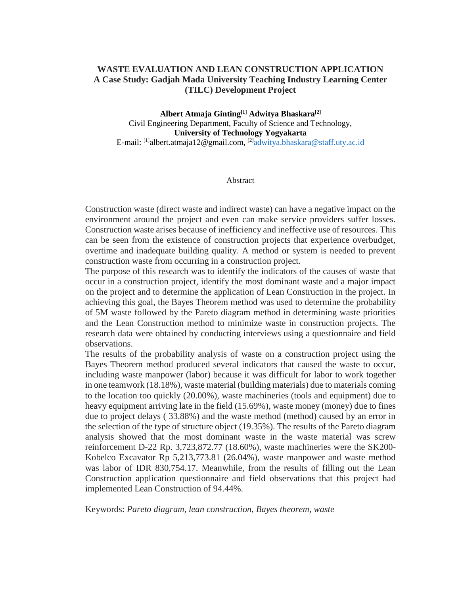### **WASTE EVALUATION AND LEAN CONSTRUCTION APPLICATION A Case Study: Gadjah Mada University Teaching Industry Learning Center (TILC) Development Project**

**Albert Atmaja Ginting[1] Adwitya Bhaskara[2]** Civil Engineering Department, Faculty of Science and Technology, **University of Technology Yogyakarta** E-mail: <sup>[1]</sup>[albert.atmaja12@gmail.com,](mailto:albert.atmaja12@gmail.com) <sup>[2]</sup>[adwitya.bhaskara@staff.uty.ac.id](mailto:adwitya.bhaskara@staff.uty.ac.id)

#### Abstract

Construction waste (direct waste and indirect waste) can have a negative impact on the environment around the project and even can make service providers suffer losses. Construction waste arises because of inefficiency and ineffective use of resources. This can be seen from the existence of construction projects that experience overbudget, overtime and inadequate building quality. A method or system is needed to prevent construction waste from occurring in a construction project.

The purpose of this research was to identify the indicators of the causes of waste that occur in a construction project, identify the most dominant waste and a major impact on the project and to determine the application of Lean Construction in the project. In achieving this goal, the Bayes Theorem method was used to determine the probability of 5M waste followed by the Pareto diagram method in determining waste priorities and the Lean Construction method to minimize waste in construction projects. The research data were obtained by conducting interviews using a questionnaire and field observations.

The results of the probability analysis of waste on a construction project using the Bayes Theorem method produced several indicators that caused the waste to occur, including waste manpower (labor) because it was difficult for labor to work together in one teamwork (18.18%), waste material (building materials) due to materials coming to the location too quickly (20.00%), waste machineries (tools and equipment) due to heavy equipment arriving late in the field (15.69%), waste money (money) due to fines due to project delays ( 33.88%) and the waste method (method) caused by an error in the selection of the type of structure object (19.35%). The results of the Pareto diagram analysis showed that the most dominant waste in the waste material was screw reinforcement D-22 Rp. 3,723,872.77 (18.60%), waste machineries were the SK200- Kobelco Excavator Rp 5,213,773.81 (26.04%), waste manpower and waste method was labor of IDR 830,754.17. Meanwhile, from the results of filling out the Lean Construction application questionnaire and field observations that this project had implemented Lean Construction of 94.44%.

Keywords: *Pareto diagram, lean construction, Bayes theorem, waste*